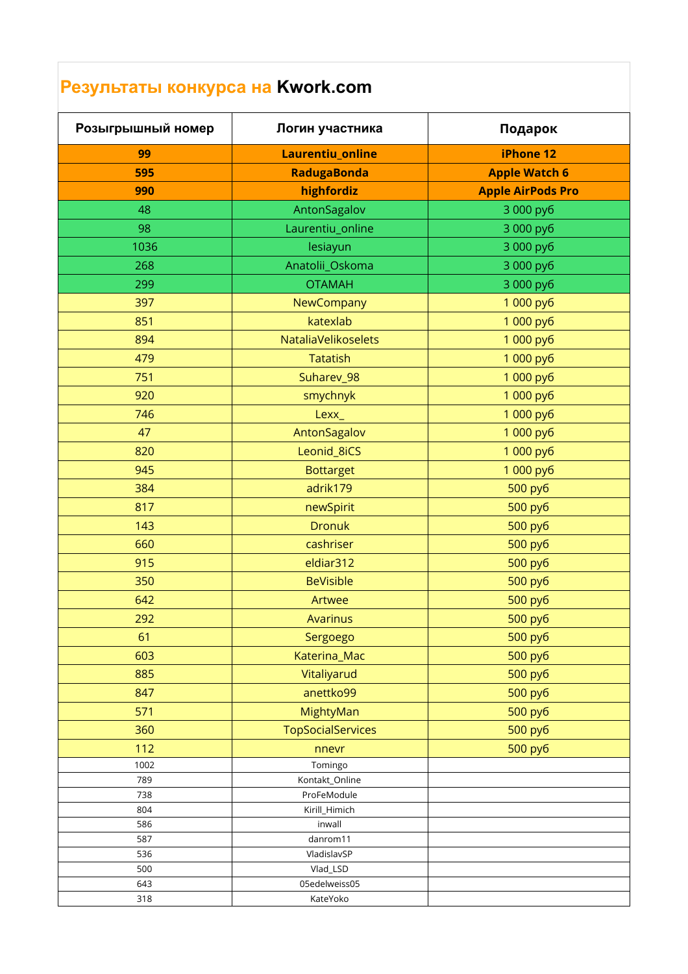## **Результаты конкурса на Kwork.com**

| Розыгрышный номер | Логин участника            | Подарок                  |
|-------------------|----------------------------|--------------------------|
| 99                | Laurentiu_online           | iPhone 12                |
| 595               | <b>RadugaBonda</b>         | <b>Apple Watch 6</b>     |
| 990               | highfordiz                 | <b>Apple AirPods Pro</b> |
| 48                | AntonSagalov               | 3 000 py6                |
| 98                | Laurentiu_online           | 3 000 py6                |
| 1036              | lesiayun                   | 3 000 py6                |
| 268               | Anatolii_Oskoma            | 3 000 py6                |
| 299               | <b>OTAMAH</b>              | 3 000 py6                |
| 397               | NewCompany                 | 1 000 py6                |
| 851               | katexlab                   | 1 000 py6                |
| 894               | <b>NataliaVelikoselets</b> | 1 000 py6                |
| 479               | <b>Tatatish</b>            | 1 000 py6                |
| 751               | Suharev_98                 | 1 000 py6                |
| 920               | smychnyk                   | 1 000 py6                |
| 746               | Lexx_                      | 1 000 py6                |
| 47                | AntonSagalov               | 1 000 py6                |
| 820               | Leonid_8iCS                | 1 000 py6                |
| 945               | <b>Bottarget</b>           | 1 000 py6                |
| 384               | adrik179                   | 500 py6                  |
| 817               | newSpirit                  | 500 py6                  |
| 143               | <b>Dronuk</b>              | 500 py6                  |
| 660               | cashriser                  | 500 py6                  |
| 915               | eldiar312                  | 500 py6                  |
| 350               | <b>BeVisible</b>           | 500 py6                  |
| 642               | Artwee                     | 500 py6                  |
| 292               | <b>Avarinus</b>            | 500 py6                  |
| 61                | Sergoego                   | 500 py6                  |
| 603               | Katerina_Mac               | 500 py6                  |
| 885               | Vitaliyarud                | 500 py6                  |
| 847               | anettko99                  | 500 py6                  |
| 571               | MightyMan                  | 500 py6                  |
| 360               | <b>TopSocialServices</b>   | 500 py6                  |
| 112               | nnevr                      | 500 py6                  |
| 1002              | Tomingo                    |                          |
| 789               | Kontakt_Online             |                          |
| 738               | ProFeModule                |                          |
| 804<br>586        | Kirill_Himich<br>inwall    |                          |
| 587               | danrom11                   |                          |
| 536               | VladislavSP                |                          |
| 500               | Vlad_LSD                   |                          |
| 643               | 05edelweiss05              |                          |
| 318               | KateYoko                   |                          |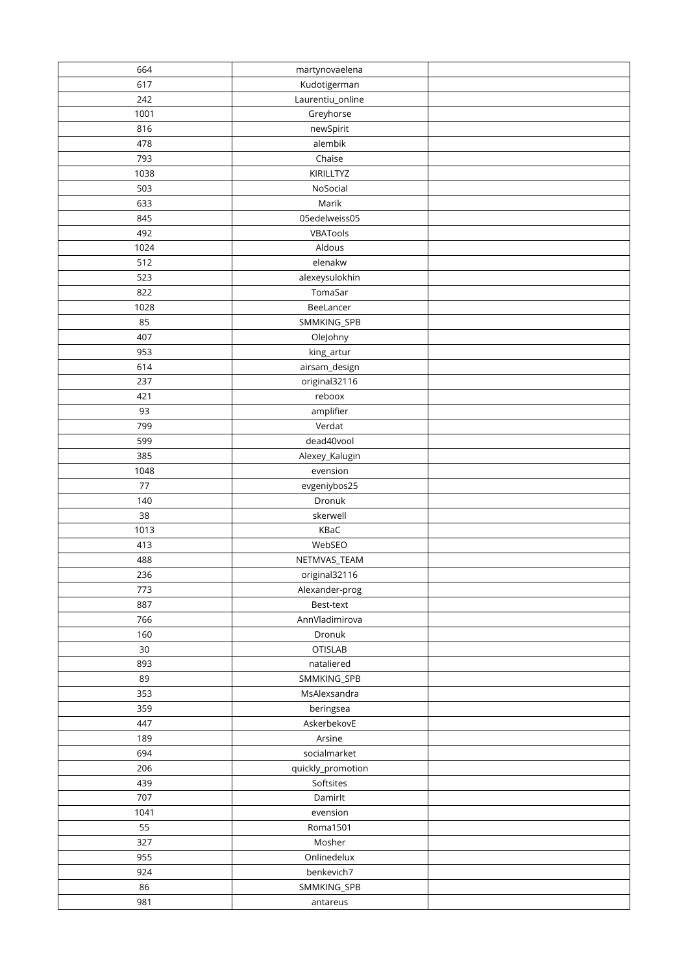| 664  | martynovaelena    |  |
|------|-------------------|--|
| 617  | Kudotigerman      |  |
| 242  | Laurentiu_online  |  |
| 1001 | Greyhorse         |  |
| 816  | newSpirit         |  |
| 478  | alembik           |  |
| 793  | Chaise            |  |
| 1038 | KIRILLTYZ         |  |
| 503  | NoSocial          |  |
| 633  | Marik             |  |
| 845  | 05edelweiss05     |  |
| 492  | VBATools          |  |
| 1024 | Aldous            |  |
| 512  | elenakw           |  |
| 523  | alexeysulokhin    |  |
| 822  | TomaSar           |  |
| 1028 | BeeLancer         |  |
| 85   | SMMKING_SPB       |  |
| 407  |                   |  |
|      | OleJohny          |  |
| 953  | king_artur        |  |
| 614  | airsam_design     |  |
| 237  | original32116     |  |
| 421  | reboox            |  |
| 93   | amplifier         |  |
| 799  | Verdat            |  |
| 599  | dead40vool        |  |
| 385  | Alexey_Kalugin    |  |
| 1048 | evension          |  |
| 77   | evgeniybos25      |  |
| 140  | Dronuk            |  |
| 38   | skerwell          |  |
| 1013 | KBaC              |  |
| 413  | WebSEO            |  |
| 488  | NETMVAS_TEAM      |  |
| 236  | original32116     |  |
| 773  | Alexander-prog    |  |
| 887  | Best-text         |  |
| 766  | AnnVladimirova    |  |
| 160  | Dronuk            |  |
| 30   | <b>OTISLAB</b>    |  |
| 893  | nataliered        |  |
| 89   | SMMKING_SPB       |  |
| 353  | MsAlexsandra      |  |
| 359  | beringsea         |  |
| 447  | AskerbekovE       |  |
| 189  | Arsine            |  |
| 694  | socialmarket      |  |
| 206  | quickly_promotion |  |
| 439  | Softsites         |  |
| 707  | Damirlt           |  |
| 1041 | evension          |  |
| 55   | Roma1501          |  |
| 327  | Mosher            |  |
| 955  | Onlinedelux       |  |
| 924  | benkevich7        |  |
| 86   | SMMKING_SPB       |  |
| 981  | antareus          |  |
|      |                   |  |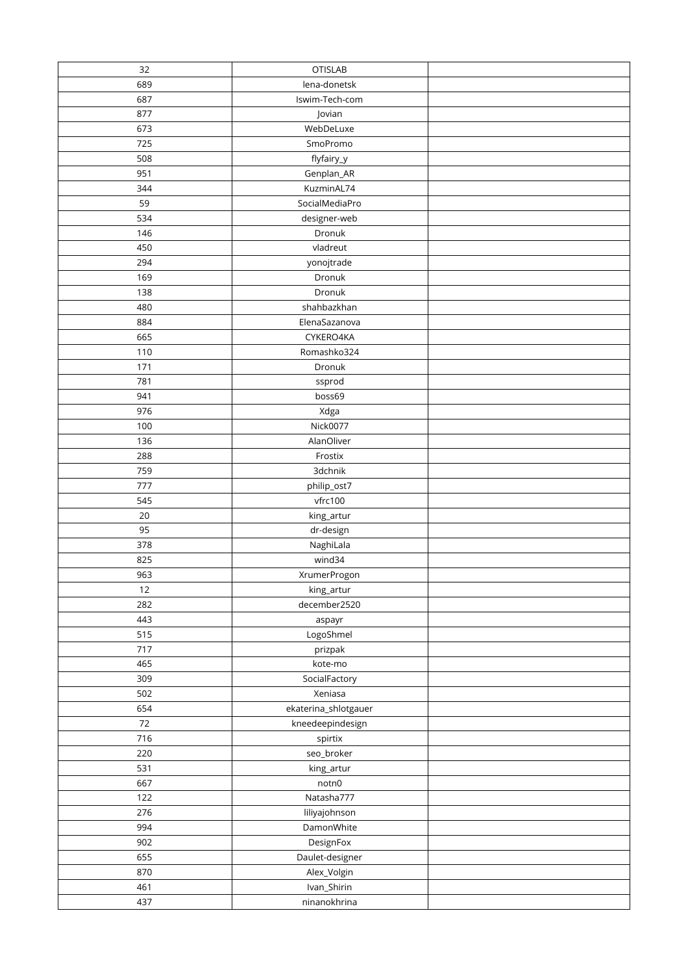| 32         | <b>OTISLAB</b>       |  |
|------------|----------------------|--|
| 689        | lena-donetsk         |  |
| 687        | Iswim-Tech-com       |  |
| 877        | Jovian               |  |
| 673        | WebDeLuxe            |  |
| 725        | SmoPromo             |  |
| 508        | flyfairy_y           |  |
| 951        | Genplan_AR           |  |
| 344        | KuzminAL74           |  |
| 59         | SocialMediaPro       |  |
| 534        | designer-web         |  |
| 146        | Dronuk               |  |
| 450        | vladreut             |  |
| 294        | yonojtrade           |  |
| 169        | Dronuk               |  |
| 138        | Dronuk               |  |
| 480        | shahbazkhan          |  |
| 884        | ElenaSazanova        |  |
| 665        | CYKERO4KA            |  |
| 110        | Romashko324          |  |
| 171        | Dronuk               |  |
| 781        | ssprod               |  |
| 941        | boss69               |  |
| 976        | Xdga                 |  |
| 100        | Nick0077             |  |
| 136        | AlanOliver           |  |
| 288        | Frostix              |  |
| 759        | 3dchnik              |  |
| 777        | philip_ost7          |  |
| 545        | vfrc100              |  |
| 20         | king_artur           |  |
| 95         | dr-design            |  |
| 378        | NaghiLala            |  |
| 825        | wind34               |  |
| 963        | XrumerProgon         |  |
| 12         | king_artur           |  |
| 282        | december2520         |  |
| 443        | aspayr               |  |
| 515        | LogoShmel            |  |
| 717        | prizpak              |  |
| 465        | kote-mo              |  |
| 309        | SocialFactory        |  |
| 502        | Xeniasa              |  |
| 654        | ekaterina_shlotgauer |  |
| $72\,$     | kneedeepindesign     |  |
| 716        | spirtix              |  |
| 220        | seo_broker           |  |
| 531<br>667 | king_artur           |  |
| 122        | notn0<br>Natasha777  |  |
| 276        | liliyajohnson        |  |
| 994        | DamonWhite           |  |
| 902        | DesignFox            |  |
| 655        | Daulet-designer      |  |
| 870        | Alex_Volgin          |  |
| 461        | Ivan_Shirin          |  |
| 437        | ninanokhrina         |  |
|            |                      |  |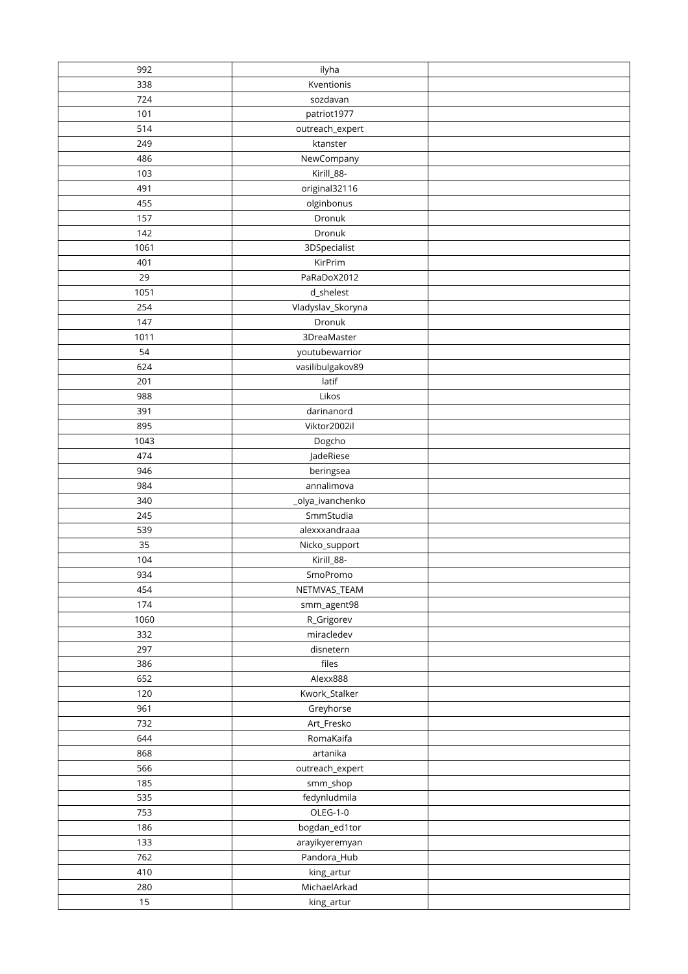| 992        | ilyha                    |  |
|------------|--------------------------|--|
| 338        | Kventionis               |  |
| 724        | sozdavan                 |  |
| 101        | patriot1977              |  |
| 514        | outreach_expert          |  |
| 249        | ktanster                 |  |
| 486        | NewCompany               |  |
| 103        | Kirill_88-               |  |
| 491        | original32116            |  |
| 455        | olginbonus               |  |
| 157        | Dronuk                   |  |
| 142        | Dronuk                   |  |
| 1061       | 3DSpecialist             |  |
| 401        | KirPrim                  |  |
| 29         | PaRaDoX2012              |  |
| 1051       | d_shelest                |  |
| 254        | Vladyslav_Skoryna        |  |
| 147        | Dronuk                   |  |
| 1011       | 3DreaMaster              |  |
| 54         | youtubewarrior           |  |
| 624        | vasilibulgakov89         |  |
| 201        | latif                    |  |
| 988        | Likos                    |  |
| 391        | darinanord               |  |
| 895        | Viktor2002il             |  |
| 1043       | Dogcho                   |  |
| 474        | JadeRiese                |  |
| 946        | beringsea                |  |
| 984        | annalimova               |  |
| 340        | _olya_ivanchenko         |  |
| 245        | SmmStudia                |  |
| 539        | alexxxandraaa            |  |
| 35         | Nicko_support            |  |
| 104        | Kirill_88-               |  |
| 934        | SmoPromo                 |  |
| 454        | NETMVAS_TEAM             |  |
| 174        | smm_agent98              |  |
| 1060       | R_Grigorev               |  |
| 332        | miracledev               |  |
| 297        | disnetern                |  |
| 386        | files                    |  |
| 652        | Alexx888                 |  |
| 120        | Kwork_Stalker            |  |
| 961        | Greyhorse                |  |
| 732        | Art_Fresko               |  |
| 644        | RomaKaifa                |  |
| 868        | artanika                 |  |
| 566        | outreach_expert          |  |
| 185<br>535 | smm_shop                 |  |
| 753        | fedynludmila<br>OLEG-1-0 |  |
| 186        | bogdan_ed1tor            |  |
| 133        | arayikyeremyan           |  |
| 762        | Pandora_Hub              |  |
| 410        | king_artur               |  |
| 280        | MichaelArkad             |  |
| 15         | king_artur               |  |
|            |                          |  |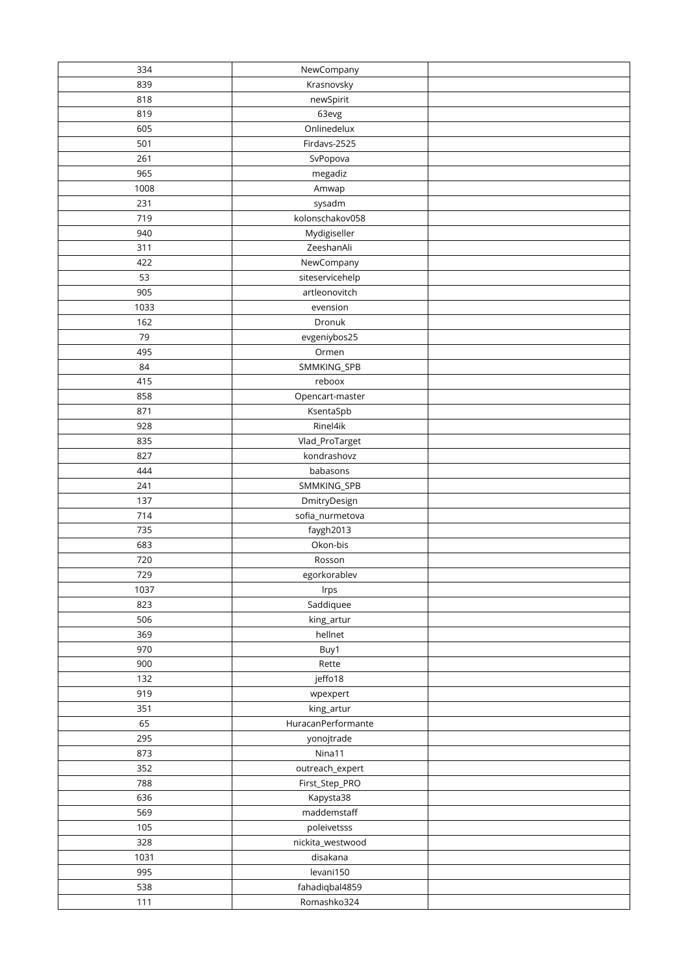| 334  | NewCompany            |  |
|------|-----------------------|--|
| 839  | Krasnovsky            |  |
| 818  | newSpirit             |  |
| 819  | 63evg                 |  |
| 605  | Onlinedelux           |  |
| 501  | Firdavs-2525          |  |
| 261  | SvPopova              |  |
| 965  | megadiz               |  |
| 1008 | Amwap                 |  |
| 231  | sysadm                |  |
| 719  | kolonschakov058       |  |
| 940  | Mydigiseller          |  |
| 311  | ZeeshanAli            |  |
| 422  | NewCompany            |  |
| 53   | siteservicehelp       |  |
| 905  | artleonovitch         |  |
| 1033 | evension              |  |
| 162  | Dronuk                |  |
| 79   | evgeniybos25          |  |
| 495  | Ormen                 |  |
| 84   | SMMKING_SPB           |  |
| 415  | reboox                |  |
| 858  | Opencart-master       |  |
| 871  | KsentaSpb             |  |
| 928  | Rinel4ik              |  |
| 835  | Vlad_ProTarget        |  |
| 827  | kondrashovz           |  |
| 444  | babasons              |  |
| 241  | SMMKING_SPB           |  |
| 137  | DmitryDesign          |  |
| 714  | sofia_nurmetova       |  |
| 735  |                       |  |
| 683  | faygh2013<br>Okon-bis |  |
| 720  | Rosson                |  |
| 729  | egorkorablev          |  |
|      |                       |  |
| 1037 | Irps                  |  |
| 823  | Saddiquee             |  |
| 506  | king_artur            |  |
| 369  | hellnet               |  |
| 970  | Buy1                  |  |
| 900  | Rette                 |  |
| 132  | jeffo18               |  |
| 919  | wpexpert              |  |
| 351  | king_artur            |  |
| 65   | HuracanPerformante    |  |
| 295  | yonojtrade            |  |
| 873  | Nina11                |  |
| 352  | outreach_expert       |  |
| 788  | First_Step_PRO        |  |
| 636  | Kapysta38             |  |
| 569  | maddemstaff           |  |
| 105  | poleivetsss           |  |
| 328  | nickita_westwood      |  |
| 1031 | disakana              |  |
| 995  | levani150             |  |
| 538  | fahadiqbal4859        |  |
| 111  | Romashko324           |  |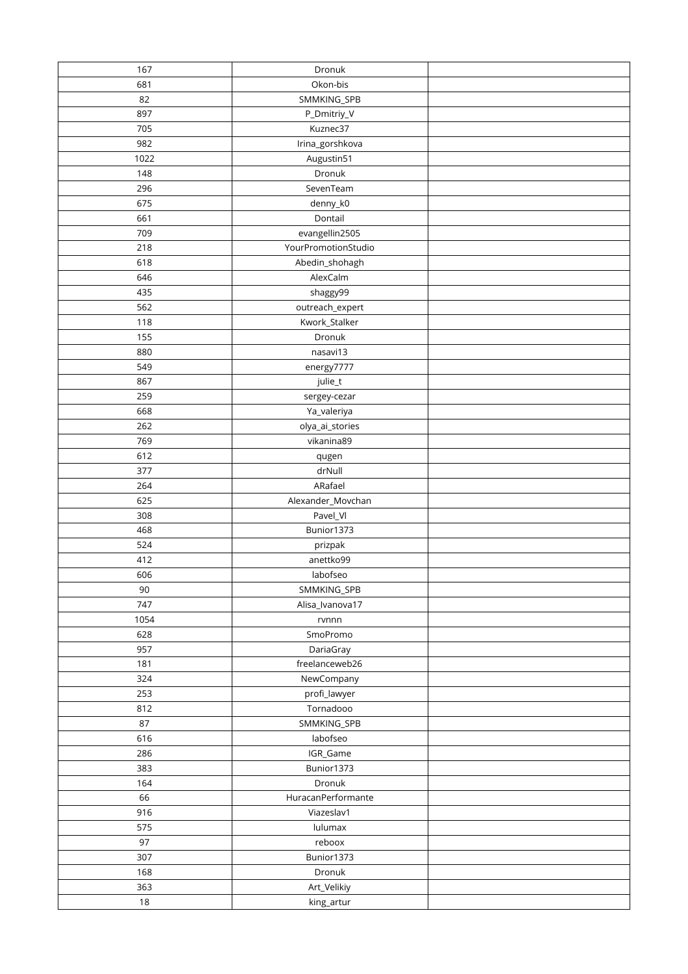| 167  | Dronuk              |  |
|------|---------------------|--|
| 681  | Okon-bis            |  |
| 82   | SMMKING_SPB         |  |
| 897  | P_Dmitriy_V         |  |
| 705  | Kuznec37            |  |
| 982  | Irina_gorshkova     |  |
| 1022 | Augustin51          |  |
| 148  | Dronuk              |  |
| 296  | SevenTeam           |  |
| 675  | denny_k0            |  |
| 661  | Dontail             |  |
| 709  | evangellin2505      |  |
| 218  | YourPromotionStudio |  |
| 618  | Abedin_shohagh      |  |
| 646  | AlexCalm            |  |
| 435  | shaggy99            |  |
| 562  | outreach_expert     |  |
| 118  | Kwork_Stalker       |  |
| 155  | Dronuk              |  |
| 880  | nasavi13            |  |
| 549  | energy7777          |  |
| 867  | julie_t             |  |
| 259  | sergey-cezar        |  |
| 668  | Ya_valeriya         |  |
| 262  | olya_ai_stories     |  |
| 769  | vikanina89          |  |
| 612  | qugen               |  |
| 377  | drNull              |  |
| 264  | ARafael             |  |
| 625  | Alexander_Movchan   |  |
| 308  | Pavel_VI            |  |
| 468  | Bunior1373          |  |
| 524  | prizpak             |  |
| 412  | anettko99           |  |
| 606  | labofseo            |  |
| 90   | SMMKING_SPB         |  |
| 747  | Alisa_Ivanova17     |  |
| 1054 | rvnnn               |  |
| 628  | SmoPromo            |  |
| 957  | DariaGray           |  |
| 181  | freelanceweb26      |  |
| 324  | NewCompany          |  |
| 253  | profi_lawyer        |  |
| 812  | Tornadooo           |  |
| 87   | SMMKING_SPB         |  |
| 616  | labofseo            |  |
| 286  | IGR_Game            |  |
| 383  | Bunior1373          |  |
| 164  | Dronuk              |  |
| 66   | HuracanPerformante  |  |
| 916  | Viazeslav1          |  |
| 575  | lulumax             |  |
| 97   | reboox              |  |
| 307  | Bunior1373          |  |
| 168  | Dronuk              |  |
| 363  | Art_Velikiy         |  |
| 18   | king_artur          |  |
|      |                     |  |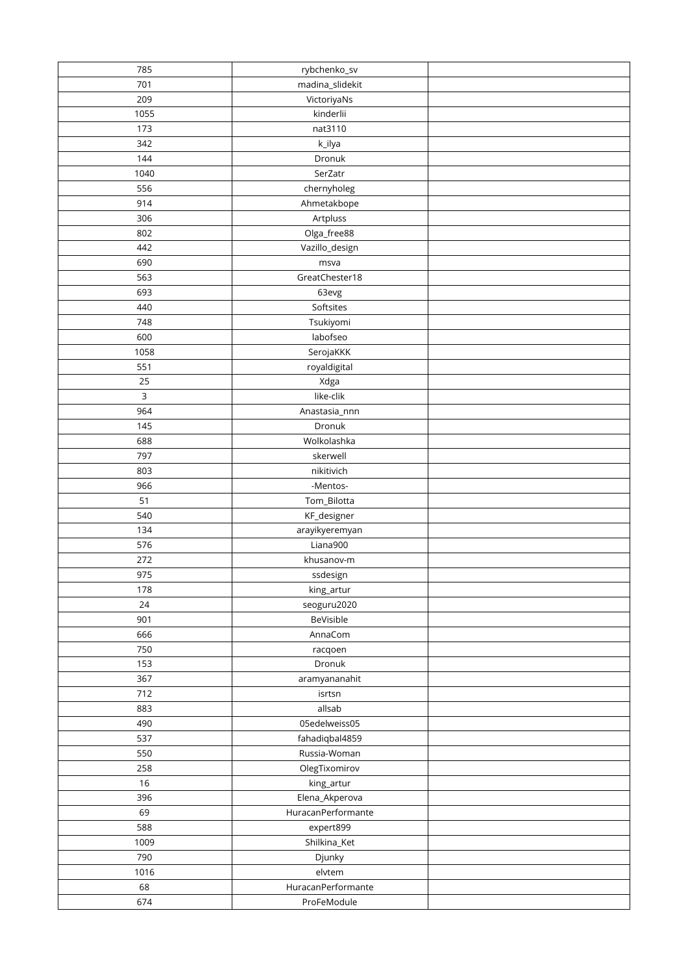| 785         | rybchenko_sv       |  |
|-------------|--------------------|--|
| 701         | madina_slidekit    |  |
| 209         | VictoriyaNs        |  |
| 1055        | kinderlii          |  |
| 173         | nat3110            |  |
| 342         | k_ilya             |  |
| 144         | Dronuk             |  |
| 1040        | SerZatr            |  |
| 556         | chernyholeg        |  |
| 914         |                    |  |
|             | Ahmetakbope        |  |
| 306         | Artpluss           |  |
| 802         | Olga_free88        |  |
| 442         | Vazillo_design     |  |
| 690         | msva               |  |
| 563         | GreatChester18     |  |
| 693         | 63evg              |  |
| 440         | Softsites          |  |
| 748         | Tsukiyomi          |  |
| 600         | labofseo           |  |
| 1058        | SerojaKKK          |  |
| 551         | royaldigital       |  |
| 25          | Xdga               |  |
| $\mathsf 3$ | like-clik          |  |
| 964         | Anastasia_nnn      |  |
| 145         | Dronuk             |  |
| 688         | Wolkolashka        |  |
| 797         | skerwell           |  |
| 803         | nikitivich         |  |
| 966         | -Mentos-           |  |
| 51          |                    |  |
| 540         | Tom_Bilotta        |  |
|             | KF_designer        |  |
| 134         | arayikyeremyan     |  |
| 576         | Liana900           |  |
| 272         | khusanov-m         |  |
| 975         | ssdesign           |  |
| 178         | king_artur         |  |
| 24          | seoguru2020        |  |
| 901         | BeVisible          |  |
| 666         | AnnaCom            |  |
| 750         | racqoen            |  |
| 153         | Dronuk             |  |
| 367         | aramyananahit      |  |
| 712         | isrtsn             |  |
| 883         | allsab             |  |
| 490         | 05edelweiss05      |  |
| 537         | fahadiqbal4859     |  |
| 550         | Russia-Woman       |  |
| 258         | OlegTixomirov      |  |
| 16          | king_artur         |  |
| 396         | Elena_Akperova     |  |
|             |                    |  |
| 69          | HuracanPerformante |  |
| 588         | expert899          |  |
| 1009        | Shilkina_Ket       |  |
| 790         | Djunky             |  |
| 1016        | elvtem             |  |
| 68          | HuracanPerformante |  |
| 674         | ProFeModule        |  |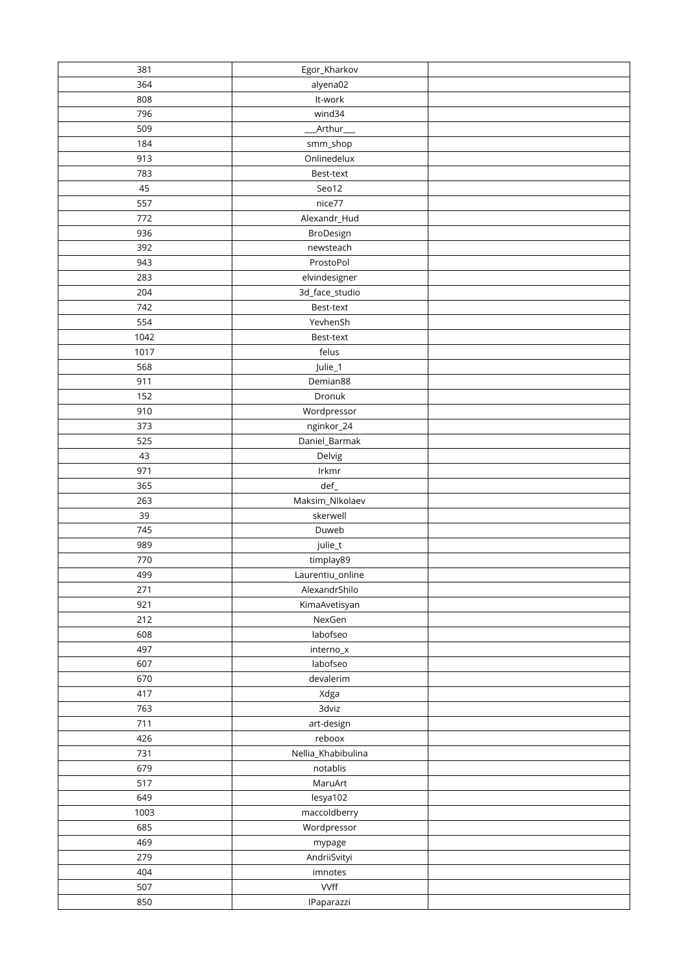| 381        | Egor_Kharkov                  |  |
|------------|-------------------------------|--|
| 364        | alyena02                      |  |
| 808        | It-work                       |  |
| 796        | wind34                        |  |
| 509        | _Arthur___                    |  |
| 184        | smm_shop                      |  |
| 913        | Onlinedelux                   |  |
| 783        | Best-text                     |  |
| 45         | Seo12                         |  |
| 557        | nice77                        |  |
| 772        | Alexandr_Hud                  |  |
| 936        | BroDesign                     |  |
| 392        | newsteach                     |  |
| 943        | ProstoPol                     |  |
| 283        | elvindesigner                 |  |
| 204        | 3d_face_studio                |  |
| 742        | Best-text                     |  |
| 554        | YevhenSh                      |  |
| 1042       | Best-text                     |  |
| 1017       | felus                         |  |
| 568        | Julie_1                       |  |
| 911        | Demian88                      |  |
| 152        | Dronuk                        |  |
| 910        | Wordpressor                   |  |
| 373        | nginkor_24                    |  |
| 525        | Daniel_Barmak                 |  |
| 43         |                               |  |
| 971        | Delvig                        |  |
| 365        | Irkmr                         |  |
| 263        | def_                          |  |
| 39         | Maksim_NIkolaev<br>skerwell   |  |
| 745        | Duweb                         |  |
| 989        |                               |  |
|            | julie_t                       |  |
| 770        | timplay89<br>Laurentiu_online |  |
| 499        |                               |  |
| 271<br>921 | AlexandrShilo                 |  |
| 212        | KimaAvetisyan<br>NexGen       |  |
|            |                               |  |
| 608        | labofseo                      |  |
| 497        | interno_x                     |  |
| 607        | labofseo                      |  |
| 670        | devalerim                     |  |
| 417<br>763 | Xdga<br>3dviz                 |  |
|            |                               |  |
| 711        | art-design                    |  |
| 426        | reboox                        |  |
| 731        | Nellia_Khabibulina            |  |
| 679        | notablis                      |  |
| 517        | MaruArt                       |  |
| 649        | lesya102                      |  |
| 1003       | maccoldberry                  |  |
| 685        | Wordpressor                   |  |
| 469        | mypage                        |  |
| 279        | AndriiSvityi                  |  |
| 404        | imnotes                       |  |
| 507        | <b>VVff</b>                   |  |
| 850        | IPaparazzi                    |  |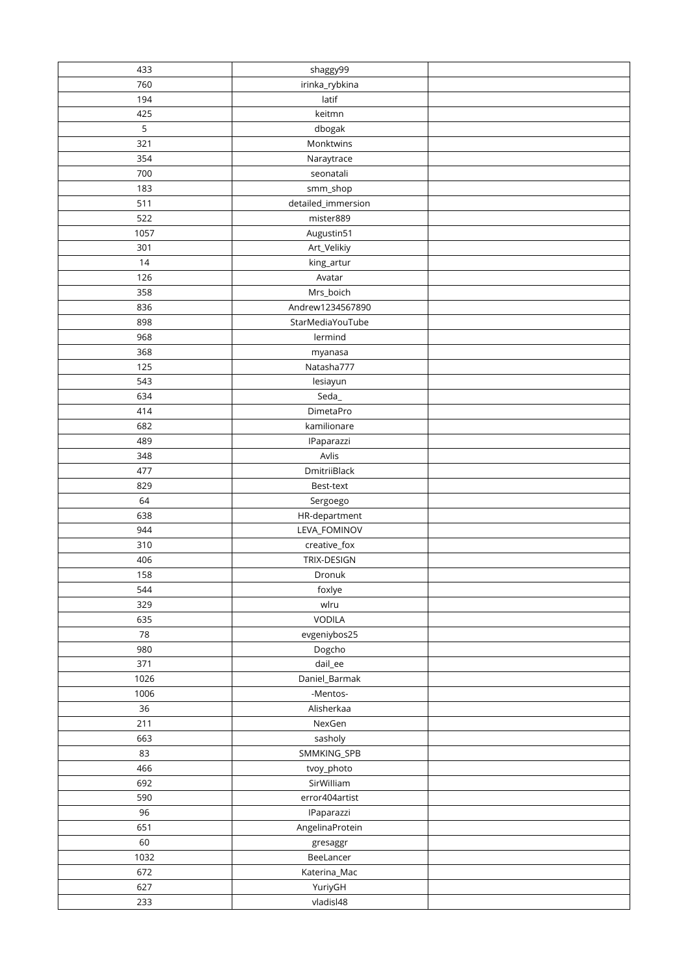| 433  | shaggy99                    |  |
|------|-----------------------------|--|
| 760  | irinka_rybkina              |  |
| 194  | latif                       |  |
| 425  | keitmn                      |  |
| 5    | dbogak                      |  |
| 321  | Monktwins                   |  |
| 354  | Naraytrace                  |  |
| 700  | seonatali                   |  |
| 183  | smm_shop                    |  |
| 511  | detailed_immersion          |  |
| 522  | mister889                   |  |
| 1057 | Augustin51                  |  |
| 301  | Art_Velikiy                 |  |
| 14   | king_artur                  |  |
| 126  | Avatar                      |  |
| 358  | Mrs_boich                   |  |
| 836  | Andrew1234567890            |  |
| 898  | StarMediaYouTube            |  |
| 968  | lermind                     |  |
| 368  | myanasa                     |  |
| 125  | Natasha777                  |  |
| 543  | lesiayun                    |  |
| 634  | Seda                        |  |
| 414  | DimetaPro                   |  |
| 682  | kamilionare                 |  |
| 489  |                             |  |
| 348  | IPaparazzi<br>Avlis         |  |
| 477  |                             |  |
| 829  | DmitriiBlack                |  |
| 64   | Best-text                   |  |
|      | Sergoego                    |  |
| 638  | HR-department               |  |
| 944  | LEVA_FOMINOV                |  |
| 310  | creative_fox<br>TRIX-DESIGN |  |
| 406  |                             |  |
| 158  | Dronuk                      |  |
| 544  | foxlye                      |  |
| 329  | wlru                        |  |
| 635  | VODILA                      |  |
| 78   | evgeniybos25                |  |
| 980  | Dogcho                      |  |
| 371  | dail_ee                     |  |
| 1026 | Daniel_Barmak               |  |
| 1006 | -Mentos-                    |  |
| 36   | Alisherkaa                  |  |
| 211  | NexGen                      |  |
| 663  | sasholy                     |  |
| 83   | SMMKING_SPB                 |  |
| 466  | tvoy_photo                  |  |
| 692  | SirWilliam                  |  |
| 590  | error404artist              |  |
| 96   | IPaparazzi                  |  |
| 651  | AngelinaProtein             |  |
| 60   | gresaggr                    |  |
| 1032 | BeeLancer                   |  |
| 672  | Katerina_Mac                |  |
| 627  | YuriyGH                     |  |
| 233  | vladisl48                   |  |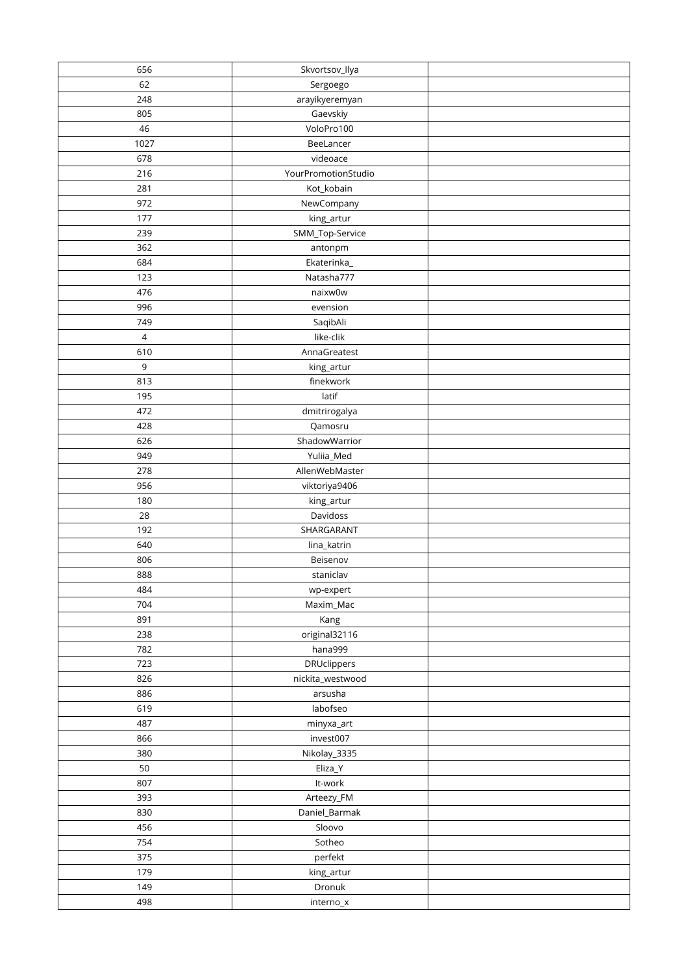| 656        | Skvortsov_Ilya              |  |
|------------|-----------------------------|--|
| 62         | Sergoego                    |  |
| 248        | arayikyeremyan              |  |
| 805        | Gaevskiy                    |  |
| 46         | VoloPro100                  |  |
| 1027       | BeeLancer                   |  |
| 678        | videoace                    |  |
| 216        | YourPromotionStudio         |  |
| 281        | Kot_kobain                  |  |
| 972        | NewCompany                  |  |
| 177        | king_artur                  |  |
| 239        | SMM_Top-Service             |  |
| 362        | antonpm                     |  |
| 684        | Ekaterinka_                 |  |
| 123        | Natasha777                  |  |
| 476        | naixw0w                     |  |
| 996        | evension                    |  |
| 749        | SaqibAli                    |  |
| $\sqrt{4}$ | like-clik                   |  |
| 610        | AnnaGreatest                |  |
| 9          | king_artur                  |  |
| 813        | finekwork                   |  |
| 195        | latif                       |  |
| 472        | dmitrirogalya               |  |
| 428        | Qamosru                     |  |
| 626        | ShadowWarrior               |  |
| 949        | Yuliia_Med                  |  |
| 278        | AllenWebMaster              |  |
| 956        |                             |  |
| 180        | viktoriya9406<br>king_artur |  |
| 28         | Davidoss                    |  |
| 192        | SHARGARANT                  |  |
| 640        | lina_katrin                 |  |
| 806        | Beisenov                    |  |
| 888        | staniclav                   |  |
|            |                             |  |
| 484        | wp-expert                   |  |
| 704        | Maxim_Mac                   |  |
| 891        | Kang                        |  |
| 238        | original32116               |  |
| 782        | hana999                     |  |
| 723        | <b>DRUclippers</b>          |  |
| 826        | nickita_westwood            |  |
| 886        | arsusha                     |  |
| 619        | labofseo                    |  |
| 487        | minyxa_art                  |  |
| 866        | invest007                   |  |
| 380        | Nikolay_3335                |  |
| 50         | Eliza_Y                     |  |
| 807        | It-work                     |  |
| 393        | Arteezy_FM                  |  |
| 830        | Daniel_Barmak               |  |
| 456        | Sloovo                      |  |
| 754        | Sotheo                      |  |
| 375        | perfekt                     |  |
| 179        | king_artur                  |  |
| 149        | Dronuk                      |  |
| 498        | $interno_x$                 |  |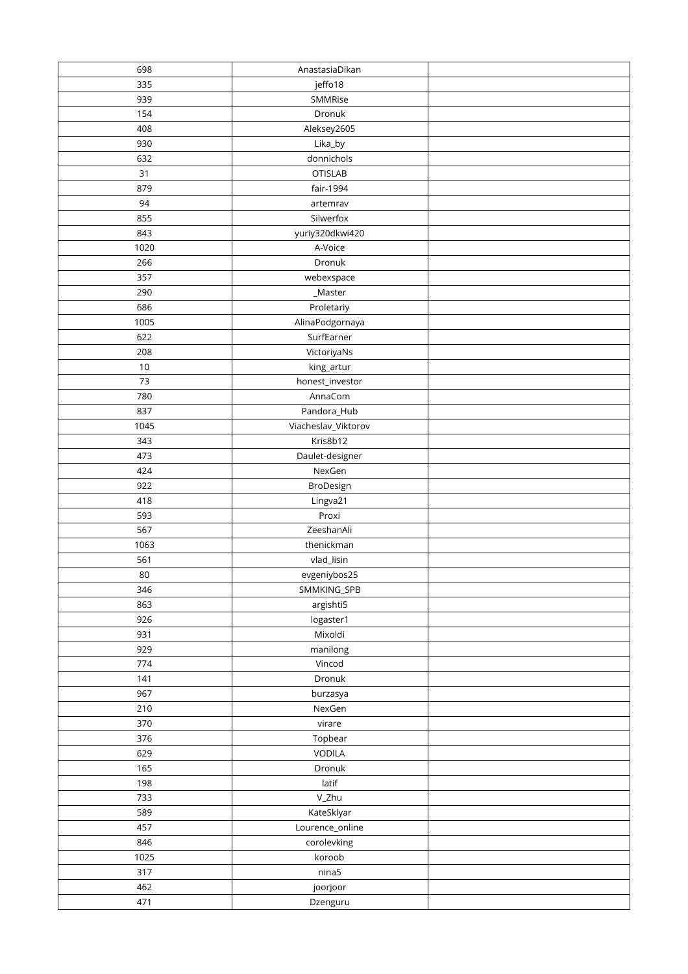| 698  | AnastasiaDikan      |  |
|------|---------------------|--|
| 335  | jeffo18             |  |
| 939  | SMMRise             |  |
| 154  | Dronuk              |  |
| 408  | Aleksey2605         |  |
| 930  | Lika_by             |  |
| 632  | donnichols          |  |
| 31   | <b>OTISLAB</b>      |  |
| 879  | fair-1994           |  |
| 94   | artemrav            |  |
| 855  | Silwerfox           |  |
| 843  | yuriy320dkwi420     |  |
| 1020 | A-Voice             |  |
| 266  | Dronuk              |  |
| 357  | webexspace          |  |
| 290  | _Master             |  |
| 686  | Proletariy          |  |
| 1005 | AlinaPodgornaya     |  |
| 622  | SurfEarner          |  |
| 208  | VictoriyaNs         |  |
| 10   | king_artur          |  |
| 73   | honest_investor     |  |
| 780  | AnnaCom             |  |
| 837  | Pandora_Hub         |  |
| 1045 | Viacheslav_Viktorov |  |
| 343  | Kris8b12            |  |
| 473  | Daulet-designer     |  |
| 424  | NexGen              |  |
| 922  | BroDesign           |  |
| 418  | Lingva21            |  |
| 593  | Proxi               |  |
| 567  | ZeeshanAli          |  |
| 1063 | thenickman          |  |
| 561  | vlad_lisin          |  |
| 80   | evgeniybos25        |  |
| 346  | SMMKING_SPB         |  |
| 863  | argishti5           |  |
| 926  | logaster1           |  |
| 931  | Mixoldi             |  |
| 929  | manilong            |  |
| 774  | Vincod              |  |
| 141  | Dronuk              |  |
| 967  | burzasya            |  |
| 210  | NexGen              |  |
| 370  | virare              |  |
| 376  | Topbear             |  |
| 629  | VODILA              |  |
| 165  | Dronuk              |  |
| 198  | latif               |  |
| 733  | V_Zhu               |  |
| 589  | KateSklyar          |  |
| 457  | Lourence_online     |  |
| 846  | corolevking         |  |
| 1025 | koroob              |  |
| 317  | nina <sub>5</sub>   |  |
| 462  | joorjoor            |  |
| 471  | Dzenguru            |  |
|      |                     |  |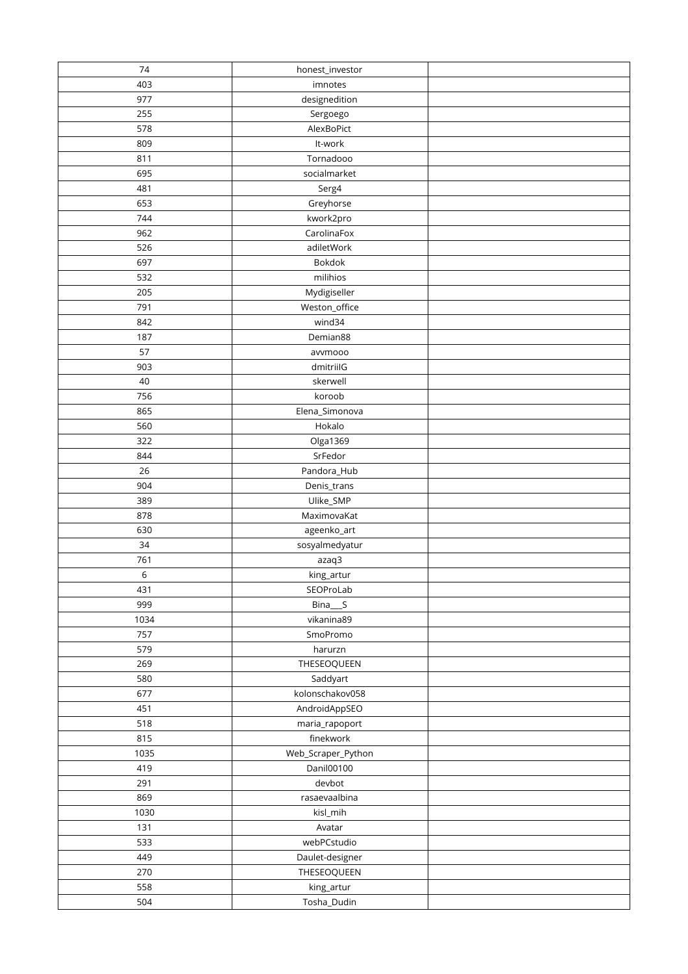| 74   | honest_investor          |  |
|------|--------------------------|--|
| 403  | imnotes                  |  |
| 977  | designedition            |  |
| 255  | Sergoego                 |  |
| 578  | AlexBoPict               |  |
| 809  | It-work                  |  |
| 811  | Tornadooo                |  |
| 695  | socialmarket             |  |
| 481  | Serg4                    |  |
| 653  | Greyhorse                |  |
| 744  | kwork2pro                |  |
| 962  | CarolinaFox              |  |
| 526  | adiletWork               |  |
| 697  | Bokdok                   |  |
| 532  | milihios                 |  |
| 205  | Mydigiseller             |  |
| 791  | Weston_office            |  |
| 842  | wind34                   |  |
| 187  | Demian88                 |  |
| 57   | avvmooo                  |  |
| 903  | dmitriilG                |  |
| 40   | skerwell                 |  |
| 756  | koroob                   |  |
| 865  | Elena_Simonova           |  |
| 560  | Hokalo                   |  |
| 322  |                          |  |
| 844  | Olga1369<br>SrFedor      |  |
| 26   |                          |  |
| 904  | Pandora_Hub              |  |
|      | Denis_trans              |  |
| 389  | Ulike_SMP<br>MaximovaKat |  |
| 878  |                          |  |
| 630  | ageenko_art              |  |
| 34   | sosyalmedyatur           |  |
| 761  | azaq3                    |  |
| 6    | king_artur               |  |
| 431  | SEOProLab                |  |
| 999  | Bina__S                  |  |
| 1034 | vikanina89               |  |
| 757  | SmoPromo                 |  |
| 579  | harurzn                  |  |
| 269  | THESEOQUEEN              |  |
| 580  | Saddyart                 |  |
| 677  | kolonschakov058          |  |
| 451  | AndroidAppSEO            |  |
| 518  | maria_rapoport           |  |
| 815  | finekwork                |  |
| 1035 | Web_Scraper_Python       |  |
| 419  | Danil00100               |  |
| 291  | devbot                   |  |
| 869  | rasaevaalbina            |  |
| 1030 | kisl_mih                 |  |
| 131  | Avatar                   |  |
| 533  | webPCstudio              |  |
| 449  | Daulet-designer          |  |
| 270  | THESEOQUEEN              |  |
| 558  | king_artur               |  |
| 504  | Tosha_Dudin              |  |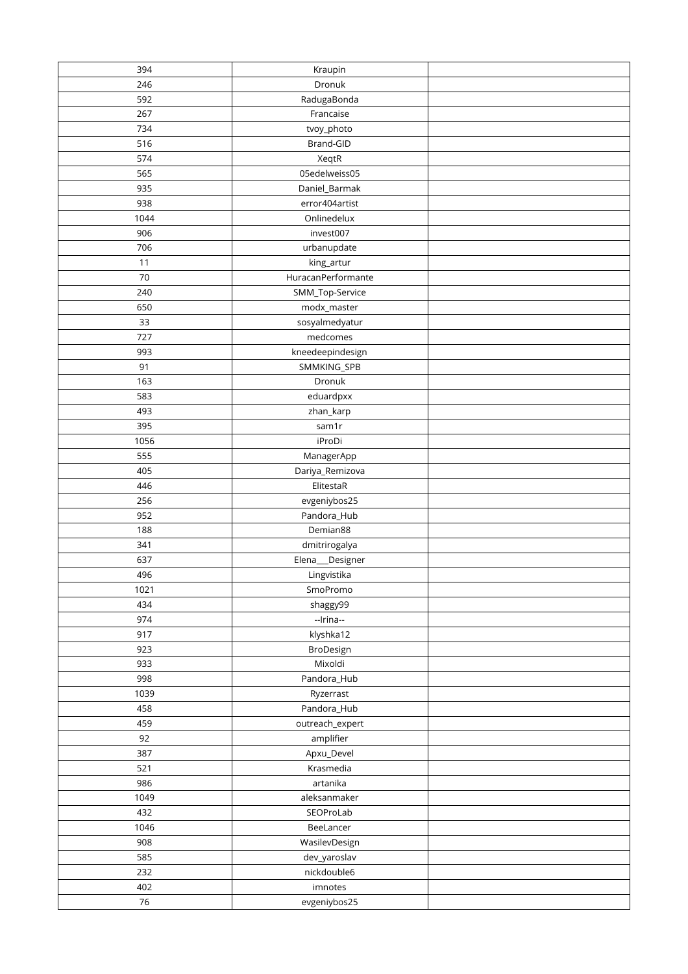| 394        | Kraupin              |  |
|------------|----------------------|--|
| 246        | Dronuk               |  |
| 592        | RadugaBonda          |  |
| 267        | Francaise            |  |
| 734        | tvoy_photo           |  |
| 516        | Brand-GID            |  |
| 574        | XeqtR                |  |
| 565        | 05edelweiss05        |  |
| 935        | Daniel_Barmak        |  |
| 938        | error404artist       |  |
| 1044       | Onlinedelux          |  |
| 906        | invest007            |  |
| 706        | urbanupdate          |  |
| 11         | king_artur           |  |
| 70         | HuracanPerformante   |  |
| 240        | SMM_Top-Service      |  |
| 650        | modx_master          |  |
| 33         | sosyalmedyatur       |  |
| 727        | medcomes             |  |
| 993        | kneedeepindesign     |  |
| 91         | SMMKING_SPB          |  |
| 163        | Dronuk               |  |
| 583        | eduardpxx            |  |
| 493        | zhan_karp            |  |
| 395        | sam1r                |  |
| 1056       | iProDi               |  |
| 555        | ManagerApp           |  |
| 405        | Dariya_Remizova      |  |
| 446        | ElitestaR            |  |
| 256        | evgeniybos25         |  |
| 952        | Pandora_Hub          |  |
| 188        | Demian88             |  |
| 341        | dmitrirogalya        |  |
| 637        | Elena_<br>_Designer  |  |
| 496        | Lingvistika          |  |
| 1021       | SmoPromo             |  |
| 434        | shaggy99             |  |
| 974        | --Irina--            |  |
| 917        | klyshka12            |  |
| 923<br>933 | BroDesign<br>Mixoldi |  |
| 998        | Pandora_Hub          |  |
| 1039       | Ryzerrast            |  |
| 458        | Pandora_Hub          |  |
| 459        | outreach_expert      |  |
| 92         | amplifier            |  |
| 387        | Apxu_Devel           |  |
| 521        | Krasmedia            |  |
| 986        | artanika             |  |
| 1049       | aleksanmaker         |  |
| 432        | SEOProLab            |  |
| 1046       | BeeLancer            |  |
| 908        | WasilevDesign        |  |
| 585        | dev_yaroslav         |  |
| 232        | nickdouble6          |  |
| 402        | imnotes              |  |
| $76\,$     | evgeniybos25         |  |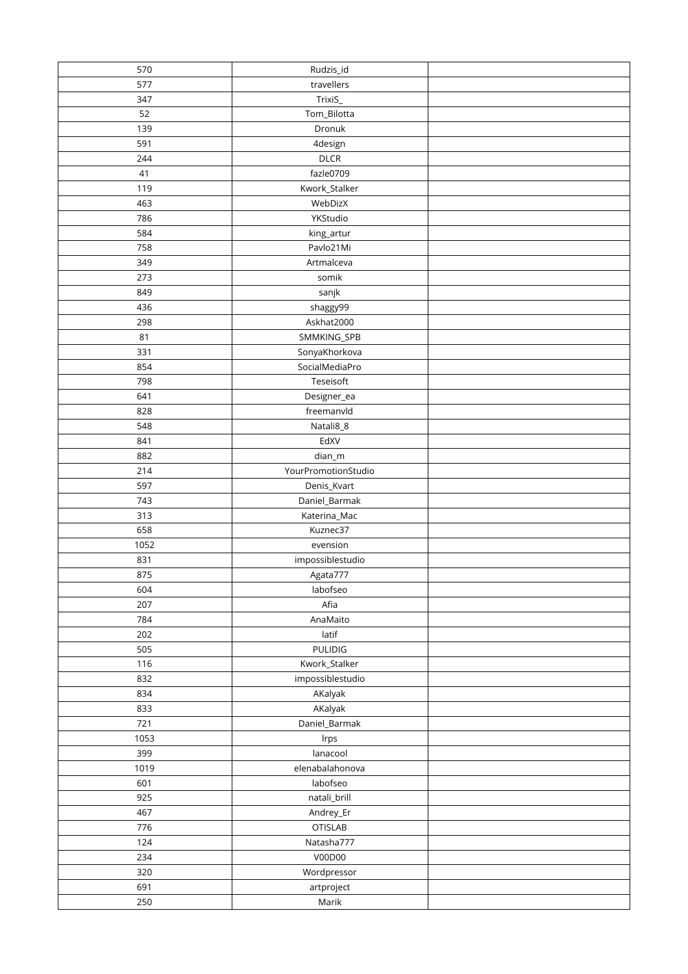| 570         | Rudzis_id                   |  |
|-------------|-----------------------------|--|
| 577         | travellers                  |  |
| 347         | TrixiS_                     |  |
| 52          | Tom_Bilotta                 |  |
| 139         | Dronuk                      |  |
| 591         | 4design                     |  |
| 244         | <b>DLCR</b>                 |  |
| 41          | fazle0709                   |  |
| 119         | Kwork_Stalker               |  |
| 463         | WebDizX                     |  |
| 786         | YKStudio                    |  |
| 584         | king_artur                  |  |
| 758         | Pavlo21Mi                   |  |
| 349         | Artmalceva                  |  |
| 273         | somik                       |  |
| 849         | sanjk                       |  |
| 436         | shaggy99                    |  |
| 298         | Askhat2000                  |  |
| 81          | SMMKING_SPB                 |  |
| 331         | SonyaKhorkova               |  |
| 854         | SocialMediaPro              |  |
| 798         | Teseisoft                   |  |
| 641         | Designer_ea                 |  |
| 828         | freemanvld                  |  |
| 548         | Natali8_8                   |  |
| 841         | EdXV                        |  |
| 882         | $dian$ _m                   |  |
| 214         | YourPromotionStudio         |  |
| 597         | Denis_Kvart                 |  |
| 743         | Daniel_Barmak               |  |
| 313         | Katerina_Mac                |  |
| 658         | Kuznec37                    |  |
| 1052        | evension                    |  |
| 831         | impossiblestudio            |  |
| 875         | Agata777                    |  |
| 604         | labofseo                    |  |
| 207         | Afia                        |  |
| 784         | AnaMaito                    |  |
| 202         | latif                       |  |
| 505         | <b>PULIDIG</b>              |  |
| 116         | Kwork_Stalker               |  |
| 832         | impossiblestudio            |  |
| 834         | AKalyak                     |  |
| 833         | AKalyak                     |  |
| 721<br>1053 | Daniel_Barmak               |  |
| 399         | Irps<br>lanacool            |  |
|             |                             |  |
| 1019<br>601 | elenabalahonova<br>labofseo |  |
| 925         | natali_brill                |  |
| 467         | Andrey_Er                   |  |
| 776         | <b>OTISLAB</b>              |  |
| 124         | Natasha777                  |  |
| 234         | V00D00                      |  |
| 320         | Wordpressor                 |  |
| 691         | artproject                  |  |
| 250         | Marik                       |  |
|             |                             |  |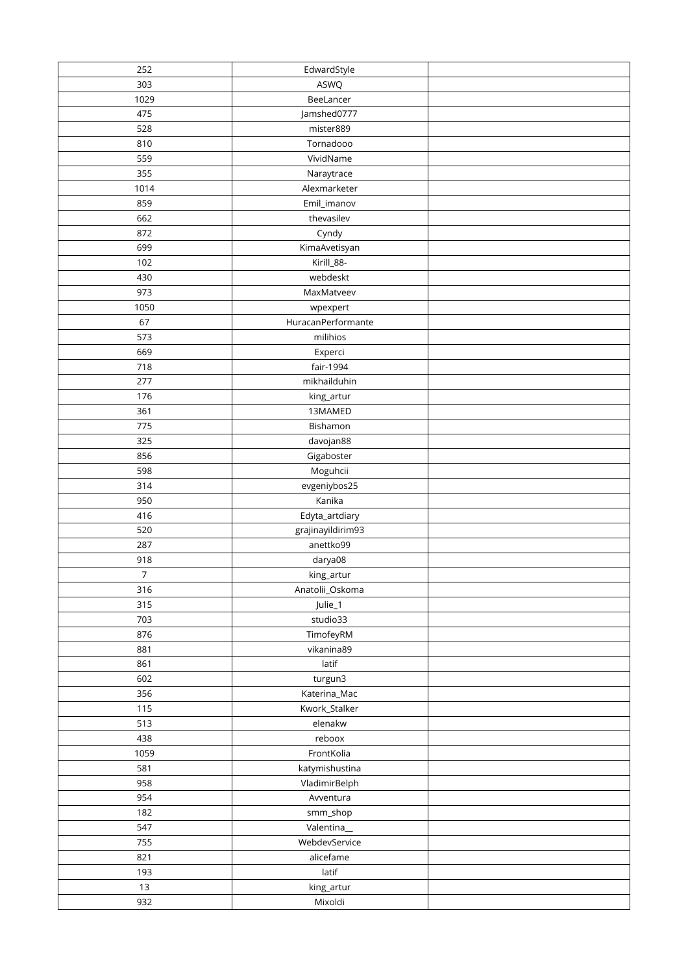| 252            | EdwardStyle        |  |
|----------------|--------------------|--|
| 303            | ASWQ               |  |
| 1029           | BeeLancer          |  |
| 475            | Jamshed0777        |  |
| 528            | mister889          |  |
| 810            | Tornadooo          |  |
| 559            | VividName          |  |
| 355            | Naraytrace         |  |
| 1014           | Alexmarketer       |  |
| 859            | Emil_imanov        |  |
| 662            | thevasilev         |  |
| 872            | Cyndy              |  |
| 699            | KimaAvetisyan      |  |
| 102            | Kirill_88-         |  |
| 430            | webdeskt           |  |
| 973            | MaxMatveev         |  |
| 1050           | wpexpert           |  |
| 67             | HuracanPerformante |  |
| 573            | milihios           |  |
| 669            | Experci            |  |
| 718            | fair-1994          |  |
| 277            | mikhailduhin       |  |
| 176            | king_artur         |  |
| 361            | 13MAMED            |  |
| 775            | Bishamon           |  |
| 325            | davojan88          |  |
| 856            | Gigaboster         |  |
| 598            | Moguhcii           |  |
| 314            | evgeniybos25       |  |
| 950            | Kanika             |  |
| 416            | Edyta_artdiary     |  |
| 520            | grajinayildirim93  |  |
| 287            | anettko99          |  |
| 918            | darya08            |  |
| $\overline{7}$ | king_artur         |  |
| 316            | Anatolii_Oskoma    |  |
| 315            | Julie_1            |  |
| 703            | studio33           |  |
| 876            | TimofeyRM          |  |
| 881            | vikanina89         |  |
| 861            | latif              |  |
| 602            | turgun3            |  |
| 356            | Katerina_Mac       |  |
| 115            | Kwork_Stalker      |  |
| 513            | elenakw            |  |
| 438            | reboox             |  |
| 1059           | FrontKolia         |  |
| 581            | katymishustina     |  |
| 958            | VladimirBelph      |  |
| 954            | Avventura          |  |
| 182            | smm_shop           |  |
| 547            | Valentina_         |  |
| 755            | WebdevService      |  |
| 821            | alicefame          |  |
| 193            | latif              |  |
| 13             | king_artur         |  |
| 932            | Mixoldi            |  |
|                |                    |  |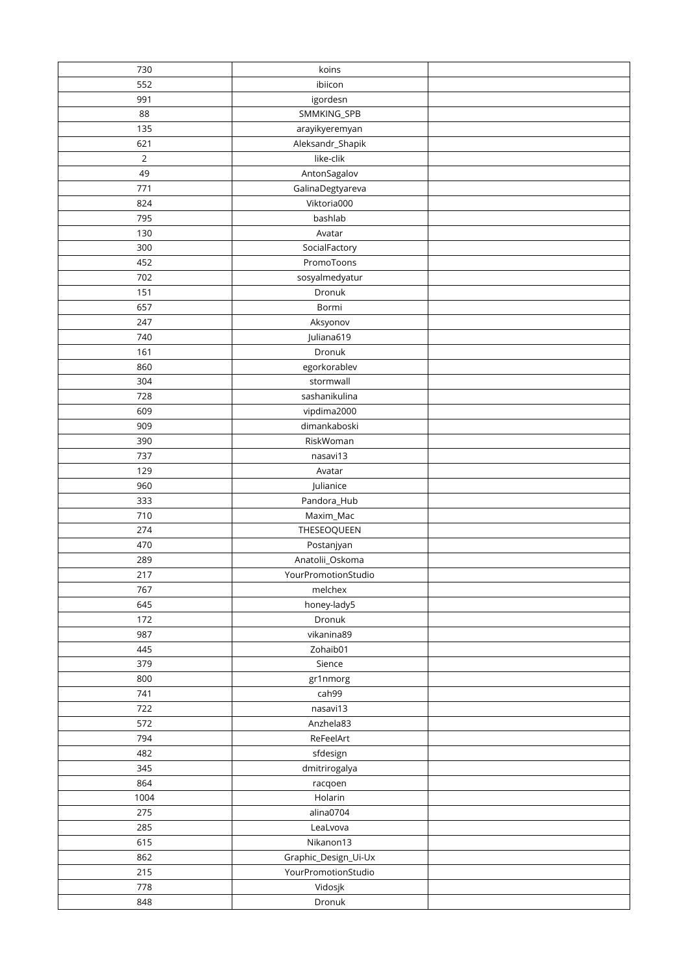| 730         | koins                                       |  |
|-------------|---------------------------------------------|--|
| 552         | ibiicon                                     |  |
| 991         | igordesn                                    |  |
| 88          | SMMKING_SPB                                 |  |
| 135         | arayikyeremyan                              |  |
| 621         | Aleksandr_Shapik                            |  |
| $\mathbf 2$ | like-clik                                   |  |
| 49          | AntonSagalov                                |  |
| 771         | GalinaDegtyareva                            |  |
| 824         | Viktoria000                                 |  |
| 795         | bashlab                                     |  |
| 130         | Avatar                                      |  |
| 300         | SocialFactory                               |  |
| 452         | PromoToons                                  |  |
| 702         | sosyalmedyatur                              |  |
| 151         | Dronuk                                      |  |
| 657         | Bormi                                       |  |
| 247         | Aksyonov                                    |  |
| 740         | Juliana619                                  |  |
| 161         | Dronuk                                      |  |
| 860         | egorkorablev                                |  |
| 304         | stormwall                                   |  |
| 728         | sashanikulina                               |  |
| 609         | vipdima2000                                 |  |
| 909         | dimankaboski                                |  |
| 390         | RiskWoman                                   |  |
| 737         | nasavi13                                    |  |
| 129         | Avatar                                      |  |
| 960         | Julianice                                   |  |
| 333         | Pandora_Hub                                 |  |
| 710         | Maxim_Mac                                   |  |
| 274         | THESEOQUEEN                                 |  |
| 470         | Postanjyan                                  |  |
| 289         | Anatolii_Oskoma                             |  |
| 217         | YourPromotionStudio                         |  |
| 767         | melchex                                     |  |
| 645         | honey-lady5                                 |  |
| 172         | Dronuk                                      |  |
| 987         | vikanina89                                  |  |
| 445         | Zohaib01                                    |  |
| 379         | Sience                                      |  |
| 800         | gr1nmorg                                    |  |
| 741         | cah99                                       |  |
| 722         | nasavi13                                    |  |
| 572         | Anzhela83                                   |  |
| 794         | ReFeelArt                                   |  |
| 482         | sfdesign                                    |  |
| 345         | dmitrirogalya                               |  |
| 864         | racqoen                                     |  |
| 1004        | Holarin                                     |  |
| 275         | alina0704                                   |  |
| 285<br>615  | LeaLvova<br>Nikanon13                       |  |
|             |                                             |  |
| 862<br>215  | Graphic_Design_Ui-Ux<br>YourPromotionStudio |  |
| 778         | Vidosjk                                     |  |
|             | Dronuk                                      |  |
| 848         |                                             |  |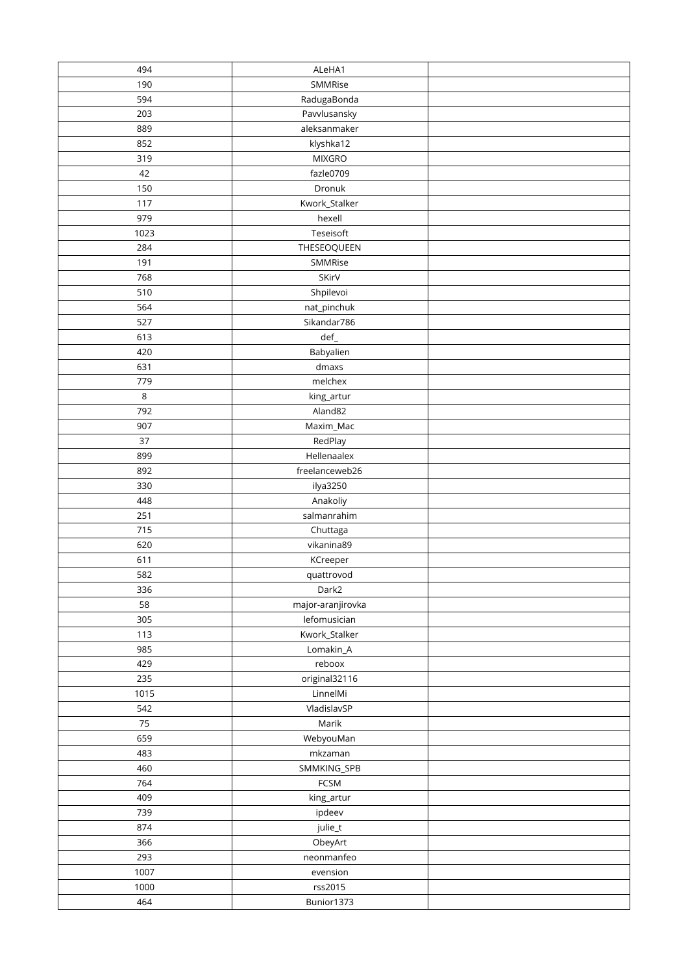| 494     | ALeHA1            |  |
|---------|-------------------|--|
| 190     | SMMRise           |  |
| 594     | RadugaBonda       |  |
| 203     | Pavvlusansky      |  |
| 889     | aleksanmaker      |  |
| 852     | klyshka12         |  |
| 319     | <b>MIXGRO</b>     |  |
| 42      | fazle0709         |  |
| 150     | Dronuk            |  |
| 117     | Kwork_Stalker     |  |
| 979     | hexell            |  |
| 1023    | Teseisoft         |  |
| 284     | THESEOQUEEN       |  |
| 191     | SMMRise           |  |
| 768     | SKirV             |  |
| 510     | Shpilevoi         |  |
| 564     | nat_pinchuk       |  |
| 527     | Sikandar786       |  |
| 613     | $def_$            |  |
| 420     | Babyalien         |  |
| 631     | dmaxs             |  |
| 779     | melchex           |  |
| $\,8\,$ | king_artur        |  |
| 792     | Aland82           |  |
| 907     | Maxim_Mac         |  |
| 37      | RedPlay           |  |
| 899     | Hellenaalex       |  |
| 892     | freelanceweb26    |  |
| 330     | ilya3250          |  |
| 448     | Anakoliy          |  |
| 251     | salmanrahim       |  |
| 715     | Chuttaga          |  |
| 620     | vikanina89        |  |
| 611     | KCreeper          |  |
| 582     | quattrovod        |  |
| 336     | Dark2             |  |
| 58      | major-aranjirovka |  |
| 305     | lefomusician      |  |
| 113     | Kwork_Stalker     |  |
| 985     | Lomakin_A         |  |
| 429     | reboox            |  |
| 235     | original32116     |  |
| 1015    | LinnelMi          |  |
| 542     | VladislavSP       |  |
| 75      | Marik             |  |
| 659     | WebyouMan         |  |
| 483     | mkzaman           |  |
| 460     | SMMKING_SPB       |  |
| 764     | FCSM              |  |
| 409     | king_artur        |  |
| 739     | ipdeev            |  |
| 874     | julie_t           |  |
| 366     | ObeyArt           |  |
| 293     | neonmanfeo        |  |
| 1007    | evension          |  |
| 1000    | rss2015           |  |
| 464     | Bunior1373        |  |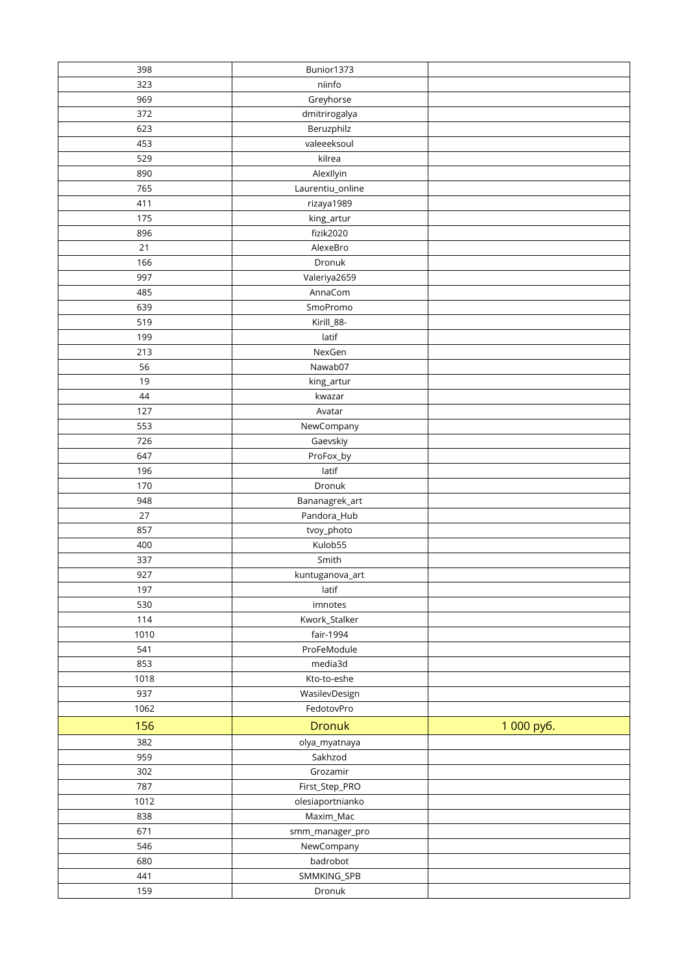| 398  | Bunior1373       |            |
|------|------------------|------------|
| 323  | niinfo           |            |
| 969  | Greyhorse        |            |
| 372  | dmitrirogalya    |            |
| 623  | Beruzphilz       |            |
| 453  | valeeeksoul      |            |
| 529  | kilrea           |            |
| 890  | AlexIlyin        |            |
| 765  | Laurentiu_online |            |
| 411  | rizaya1989       |            |
| 175  | king_artur       |            |
| 896  | fizik2020        |            |
| 21   | AlexeBro         |            |
| 166  | Dronuk           |            |
| 997  | Valeriya2659     |            |
| 485  | AnnaCom          |            |
| 639  | SmoPromo         |            |
| 519  | Kirill_88-       |            |
| 199  | latif            |            |
| 213  | NexGen           |            |
| 56   | Nawab07          |            |
| 19   | king_artur       |            |
| 44   | kwazar           |            |
| 127  | Avatar           |            |
| 553  | NewCompany       |            |
| 726  | Gaevskiy         |            |
| 647  | ProFox_by        |            |
| 196  | latif            |            |
| 170  | Dronuk           |            |
| 948  | Bananagrek_art   |            |
| 27   | Pandora_Hub      |            |
| 857  | tvoy_photo       |            |
| 400  | Kulob55          |            |
| 337  | Smith            |            |
| 927  | kuntuganova_art  |            |
| 197  | latif            |            |
| 530  | imnotes          |            |
| 114  | Kwork_Stalker    |            |
| 1010 | fair-1994        |            |
| 541  | ProFeModule      |            |
| 853  | media3d          |            |
| 1018 | Kto-to-eshe      |            |
| 937  | WasilevDesign    |            |
| 1062 | FedotovPro       |            |
| 156  | <b>Dronuk</b>    | 1 000 py6. |
| 382  | olya_myatnaya    |            |
| 959  | Sakhzod          |            |
| 302  | Grozamir         |            |
| 787  | First_Step_PRO   |            |
| 1012 | olesiaportnianko |            |
| 838  | Maxim_Mac        |            |
| 671  | smm_manager_pro  |            |
| 546  | NewCompany       |            |
| 680  | badrobot         |            |
| 441  | SMMKING_SPB      |            |
| 159  | Dronuk           |            |
|      |                  |            |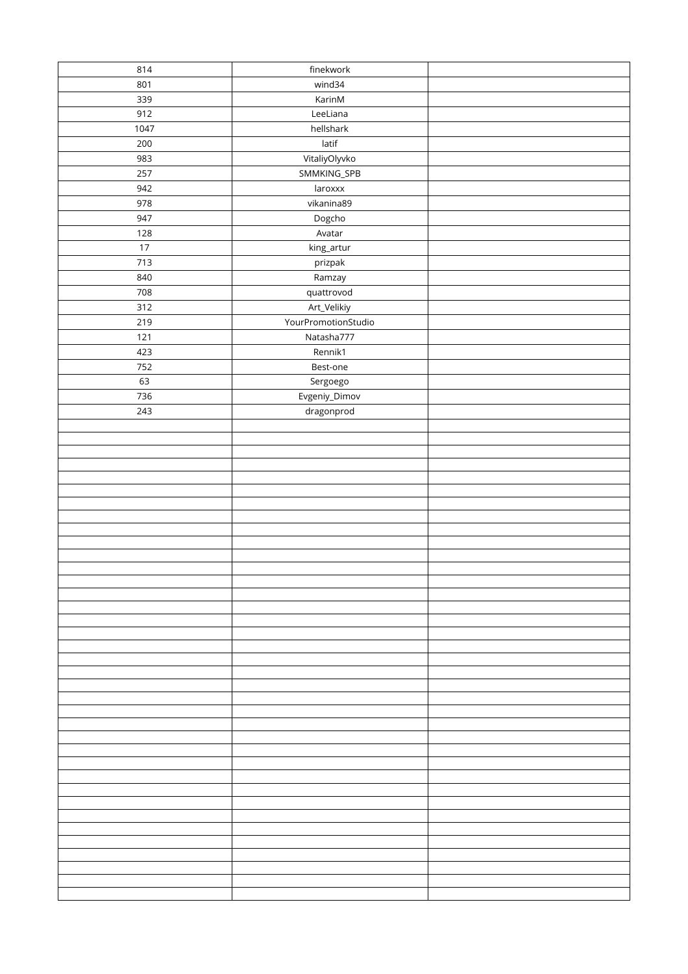| 814  | finekwork           |  |
|------|---------------------|--|
| 801  | wind34              |  |
| 339  | KarinM              |  |
| 912  | LeeLiana            |  |
| 1047 | hellshark           |  |
| 200  | latif               |  |
| 983  | VitaliyOlyvko       |  |
| 257  | SMMKING_SPB         |  |
| 942  | laroxxx             |  |
| 978  | vikanina89          |  |
| 947  | Dogcho              |  |
| 128  | Avatar              |  |
| 17   | king_artur          |  |
| 713  | prizpak             |  |
| 840  |                     |  |
| 708  | Ramzay              |  |
| 312  | quattrovod          |  |
|      | Art_Velikiy         |  |
| 219  | YourPromotionStudio |  |
| 121  | Natasha777          |  |
| 423  | Rennik1             |  |
| 752  | Best-one            |  |
| 63   | Sergoego            |  |
| 736  | Evgeniy_Dimov       |  |
| 243  | dragonprod          |  |
|      |                     |  |
|      |                     |  |
|      |                     |  |
|      |                     |  |
|      |                     |  |
|      |                     |  |
|      |                     |  |
|      |                     |  |
|      |                     |  |
|      |                     |  |
|      |                     |  |
|      |                     |  |
|      |                     |  |
|      |                     |  |
|      |                     |  |
|      |                     |  |
|      |                     |  |
|      |                     |  |
|      |                     |  |
|      |                     |  |
|      |                     |  |
|      |                     |  |
|      |                     |  |
|      |                     |  |
|      |                     |  |
|      |                     |  |
|      |                     |  |
|      |                     |  |
|      |                     |  |
|      |                     |  |
|      |                     |  |
|      |                     |  |
|      |                     |  |
|      |                     |  |